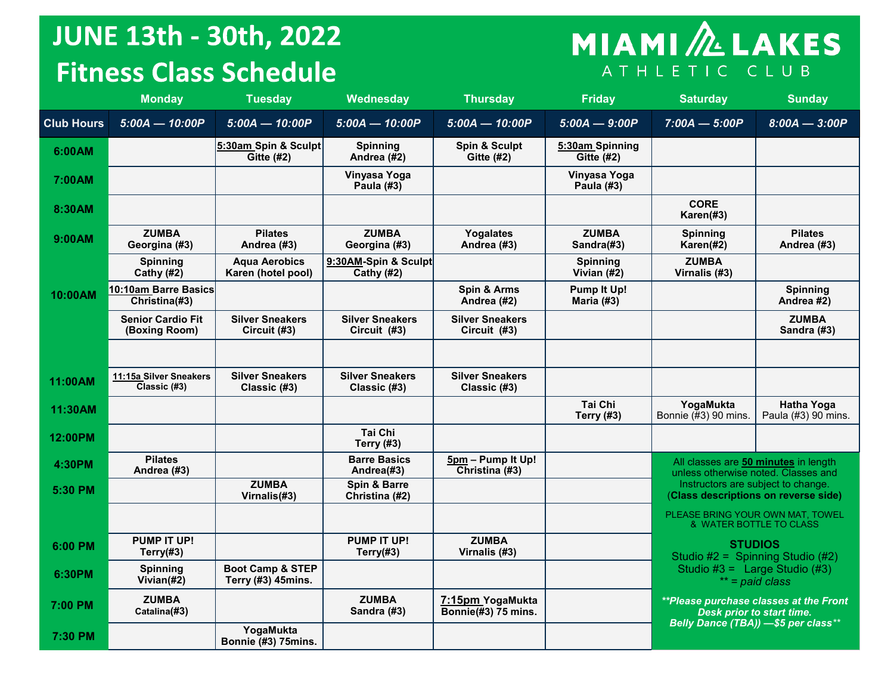# **JUNE 13th - 30th, 2022 Fitness Class Schedule**

# **MIAMI**<sup>2</sup> LAKES ATHLETIC CLUB

|                   | <b>Monday</b>                             | <b>Tuesday</b>                                    | Wednesday                              | <b>Thursday</b>                         | Friday                               | <b>Saturday</b>                                                             | <b>Sunday</b>                            |  |
|-------------------|-------------------------------------------|---------------------------------------------------|----------------------------------------|-----------------------------------------|--------------------------------------|-----------------------------------------------------------------------------|------------------------------------------|--|
| <b>Club Hours</b> | $5:00A - 10:00P$                          | $5:00A - 10:00P$                                  | $5:00A - 10:00P$                       | $5:00A - 10:00P$                        | $5:00A - 9:00P$                      | $7:00A - 5:00P$                                                             | $8:00A - 3:00P$                          |  |
| 6:00AM            |                                           | 5:30am Spin & Sculpt<br>Gitte $(H2)$              | <b>Spinning</b><br>Andrea (#2)         | Spin & Sculpt<br><b>Gitte (#2)</b>      | 5:30am Spinning<br><b>Gitte (#2)</b> |                                                                             |                                          |  |
| 7:00AM            |                                           |                                                   | Vinyasa Yoga<br>Paula (#3)             |                                         | Vinyasa Yoga<br>Paula (#3)           |                                                                             |                                          |  |
| 8:30AM            |                                           |                                                   |                                        |                                         |                                      | <b>CORE</b><br>Karen(#3)                                                    |                                          |  |
| 9:00AM            | <b>ZUMBA</b><br>Georgina (#3)             | <b>Pilates</b><br>Andrea (#3)                     | <b>ZUMBA</b><br>Georgina (#3)          | Yogalates<br>Andrea (#3)                | <b>ZUMBA</b><br>Sandra(#3)           | Spinning<br>Karen(#2)                                                       | <b>Pilates</b><br>Andrea (#3)            |  |
|                   | <b>Spinning</b><br>Cathy (#2)             | <b>Aqua Aerobics</b><br>Karen (hotel pool)        | 9:30AM-Spin & Sculpt<br>Cathy $(#2)$   |                                         | <b>Spinning</b><br>Vivian $(H2)$     | <b>ZUMBA</b><br>Virnalis (#3)                                               |                                          |  |
| 10:00AM           | 10:10am Barre Basics<br>Christina(#3)     |                                                   |                                        | Spin & Arms<br>Andrea (#2)              | Pump It Up!<br>Maria (#3)            |                                                                             | Spinning<br>Andrea #2)                   |  |
|                   | <b>Senior Cardio Fit</b><br>(Boxing Room) | <b>Silver Sneakers</b><br>Circuit (#3)            | <b>Silver Sneakers</b><br>Circuit (#3) | <b>Silver Sneakers</b><br>Circuit (#3)  |                                      |                                                                             | <b>ZUMBA</b><br>Sandra (#3)              |  |
|                   |                                           |                                                   |                                        |                                         |                                      |                                                                             |                                          |  |
| 11:00AM           | 11:15a Silver Sneakers<br>Classic (#3)    | <b>Silver Sneakers</b><br>Classic (#3)            | <b>Silver Sneakers</b><br>Classic (#3) | <b>Silver Sneakers</b><br>Classic (#3)  |                                      |                                                                             |                                          |  |
| 11:30AM           |                                           |                                                   |                                        |                                         | Tai Chi<br><b>Terry (#3)</b>         | YogaMukta<br>Bonnie (#3) 90 mins.                                           | <b>Hatha Yoga</b><br>Paula (#3) 90 mins. |  |
| 12:00PM           |                                           |                                                   | Tai Chi<br><b>Terry (#3)</b>           |                                         |                                      |                                                                             |                                          |  |
| 4:30PM            | <b>Pilates</b><br>Andrea (#3)             |                                                   | <b>Barre Basics</b><br>Andrea(#3)      | 5pm - Pump It Up!<br>Christina (#3)     |                                      | All classes are 50 minutes in length<br>unless otherwise noted. Classes and |                                          |  |
| 5:30 PM           |                                           | <b>ZUMBA</b><br>Virnalis(#3)                      | Spin & Barre<br>Christina (#2)         |                                         |                                      | Instructors are subject to change.<br>(Class descriptions on reverse side)  |                                          |  |
|                   |                                           |                                                   |                                        |                                         |                                      | PLEASE BRING YOUR OWN MAT. TOWEL<br>& WATER BOTTLE TO CLASS                 |                                          |  |
| 6:00 PM           | PUMP IT UP!<br>Terry $(#3)$               |                                                   | PUMP IT UP!<br>Terry $(#3)$            | <b>ZUMBA</b><br>Virnalis (#3)           |                                      | <b>STUDIOS</b><br>Studio #2 = Spinning Studio $(#2)$                        |                                          |  |
| 6:30PM            | <b>Spinning</b><br>Vivian $(#2)$          | <b>Boot Camp &amp; STEP</b><br>Terry (#3) 45mins. |                                        |                                         |                                      | Studio #3 = Large Studio $(#3)$<br>$**$ = paid class                        |                                          |  |
| 7:00 PM           | <b>ZUMBA</b><br>Catalina(#3)              |                                                   | <b>ZUMBA</b><br>Sandra (#3)            | 7:15pm YogaMukta<br>Bonnie(#3) 75 mins. |                                      | <i>**Please purchase classes at the Front</i><br>Desk prior to start time.  |                                          |  |
| 7:30 PM           |                                           | YogaMukta<br>Bonnie (#3) 75mins.                  |                                        |                                         |                                      | Belly Dance (TBA)) -\$5 per class**                                         |                                          |  |